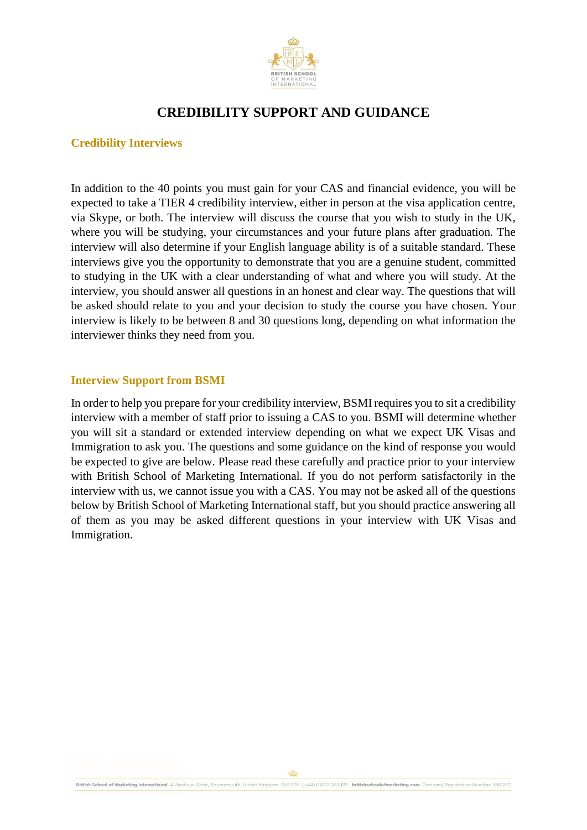

# **Credibility Interviews**

In addition to the 40 points you must gain for your CAS and financial evidence, you will be expected to take a TIER 4 credibility interview, either in person at the visa application centre, via Skype, or both. The interview will discuss the course that you wish to study in the UK, where you will be studying, your circumstances and your future plans after graduation. The interview will also determine if your English language ability is of a suitable standard. These interviews give you the opportunity to demonstrate that you are a genuine student, committed to studying in the UK with a clear understanding of what and where you will study. At the interview, you should answer all questions in an honest and clear way. The questions that will be asked should relate to you and your decision to study the course you have chosen. Your interview is likely to be between 8 and 30 questions long, depending on what information the interviewer thinks they need from you.

# **Interview Support from BSMI**

In order to help you prepare for your credibility interview, BSMI requires you to sit a credibility interview with a member of staff prior to issuing a CAS to you. BSMI will determine whether you will sit a standard or extended interview depending on what we expect UK Visas and Immigration to ask you. The questions and some guidance on the kind of response you would be expected to give are below. Please read these carefully and practice prior to your interview with British School of Marketing International. If you do not perform satisfactorily in the interview with us, we cannot issue you with a CAS. You may not be asked all of the questions below by British School of Marketing International staff, but you should practice answering all of them as you may be asked different questions in your interview with UK Visas and Immigration.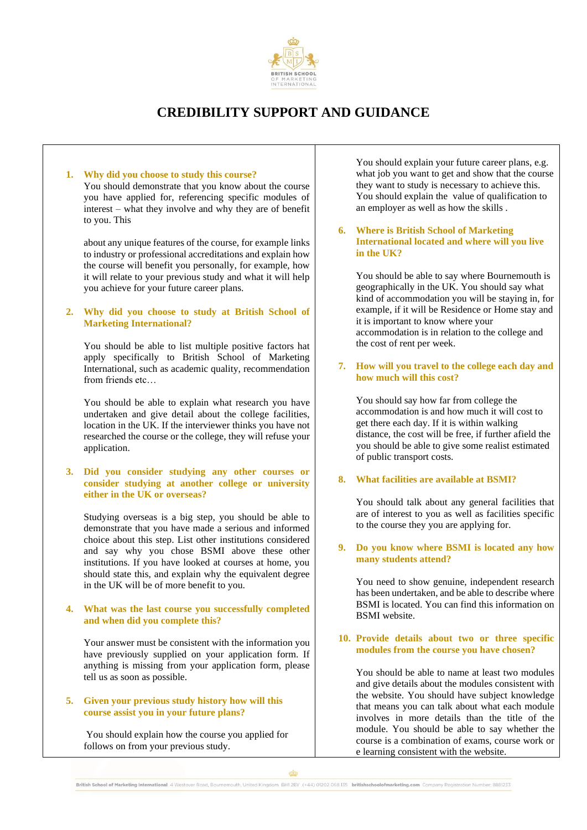

#### **1. Why did you choose to study this course?**  You should demonstrate that you know about the course you have applied for, referencing specific modules of interest – what they involve and why they are of benefit to you. This

about any unique features of the course, for example links to industry or professional accreditations and explain how the course will benefit you personally, for example, how it will relate to your previous study and what it will help you achieve for your future career plans.

#### **2. Why did you choose to study at British School of Marketing International?**

You should be able to list multiple positive factors hat apply specifically to British School of Marketing International, such as academic quality, recommendation from friends etc…

You should be able to explain what research you have undertaken and give detail about the college facilities, location in the UK. If the interviewer thinks you have not researched the course or the college, they will refuse your application.

#### **3. Did you consider studying any other courses or consider studying at another college or university either in the UK or overseas?**

Studying overseas is a big step, you should be able to demonstrate that you have made a serious and informed choice about this step. List other institutions considered and say why you chose BSMI above these other institutions. If you have looked at courses at home, you should state this, and explain why the equivalent degree in the UK will be of more benefit to you.

#### **4. What was the last course you successfully completed and when did you complete this?**

Your answer must be consistent with the information you have previously supplied on your application form. If anything is missing from your application form, please tell us as soon as possible.

### **5. Given your previous study history how will this course assist you in your future plans?**

You should explain how the course you applied for follows on from your previous study.

You should explain your future career plans, e.g. what job you want to get and show that the course they want to study is necessary to achieve this. You should explain the value of qualification to an employer as well as how the skills .

**6. Where is British School of Marketing International located and where will you live in the UK?** 

You should be able to say where Bournemouth is geographically in the UK. You should say what kind of accommodation you will be staying in, for example, if it will be Residence or Home stay and it is important to know where your accommodation is in relation to the college and the cost of rent per week.

### **7. How will you travel to the college each day and how much will this cost?**

You should say how far from college the accommodation is and how much it will cost to get there each day. If it is within walking distance, the cost will be free, if further afield the you should be able to give some realist estimated of public transport costs.

## **8. What facilities are available at BSMI?**

You should talk about any general facilities that are of interest to you as well as facilities specific to the course they you are applying for.

#### **9. Do you know where BSMI is located any how many students attend?**

You need to show genuine, independent research has been undertaken, and be able to describe where BSMI is located. You can find this information on BSMI website.

### **10. Provide details about two or three specific modules from the course you have chosen?**

You should be able to name at least two modules and give details about the modules consistent with the website. You should have subject knowledge that means you can talk about what each module involves in more details than the title of the module. You should be able to say whether the course is a combination of exams, course work or e learning consistent with the website.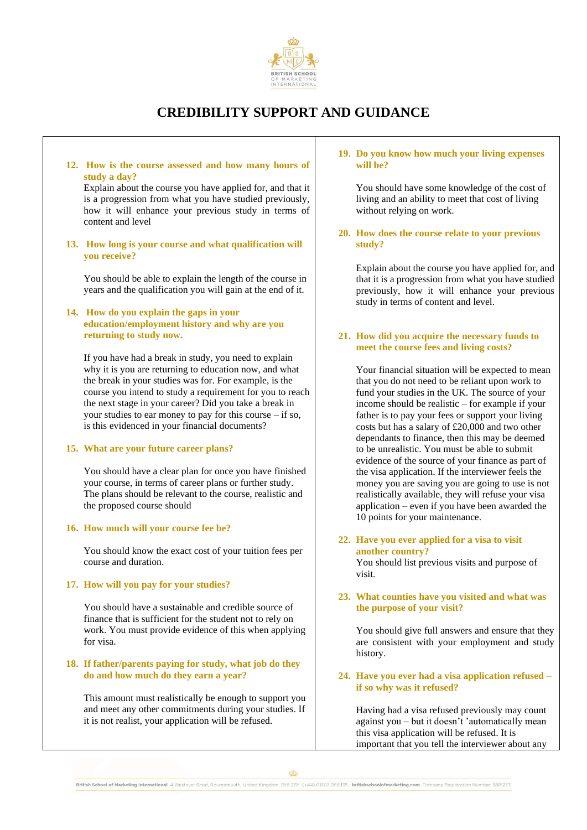

**12. How is the course assessed and how many hours of study a day?** 

Explain about the course you have applied for, and that it is a progression from what you have studied previously, how it will enhance your previous study in terms of content and level

**13. How long is your course and what qualification will you receive?**

You should be able to explain the length of the course in years and the qualification you will gain at the end of it.

## **14. How do you explain the gaps in your education/employment history and why are you returning to study now.**

If you have had a break in study, you need to explain why it is you are returning to education now, and what the break in your studies was for. For example, is the course you intend to study a requirement for you to reach the next stage in your career? Did you take a break in your studies to ear money to pay for this course – if so, is this evidenced in your financial documents?

#### **15. What are your future career plans?**

You should have a clear plan for once you have finished your course, in terms of career plans or further study. The plans should be relevant to the course, realistic and the proposed course should

## **16. How much will your course fee be?**

You should know the exact cost of your tuition fees per course and duration.

#### **17. How will you pay for your studies?**

You should have a sustainable and credible source of finance that is sufficient for the student not to rely on work. You must provide evidence of this when applying for visa.

#### **18. If father/parents paying for study, what job do they do and how much do they earn a year?**

This amount must realistically be enough to support you and meet any other commitments during your studies. If it is not realist, your application will be refused.

#### **19. Do you know how much your living expenses will be?**

You should have some knowledge of the cost of living and an ability to meet that cost of living without relying on work.

**20. How does the course relate to your previous study?** 

Explain about the course you have applied for, and that it is a progression from what you have studied previously, how it will enhance your previous study in terms of content and level.

#### **21. How did you acquire the necessary funds to meet the course fees and living costs?**

Your financial situation will be expected to mean that you do not need to be reliant upon work to fund your studies in the UK. The source of your income should be realistic – for example if your father is to pay your fees or support your living costs but has a salary of £20,000 and two other dependants to finance, then this may be deemed to be unrealistic. You must be able to submit evidence of the source of your finance as part of the visa application. If the interviewer feels the money you are saving you are going to use is not realistically available, they will refuse your visa application – even if you have been awarded the 10 points for your maintenance.

## **22. Have you ever applied for a visa to visit another country?**

You should list previous visits and purpose of visit.

#### **23. What counties have you visited and what was the purpose of your visit?**

You should give full answers and ensure that they are consistent with your employment and study history.

## **24. Have you ever had a visa application refused – if so why was it refused?**

Having had a visa refused previously may count against you – but it doesn't 'automatically mean this visa application will be refused. It is important that you tell the interviewer about any